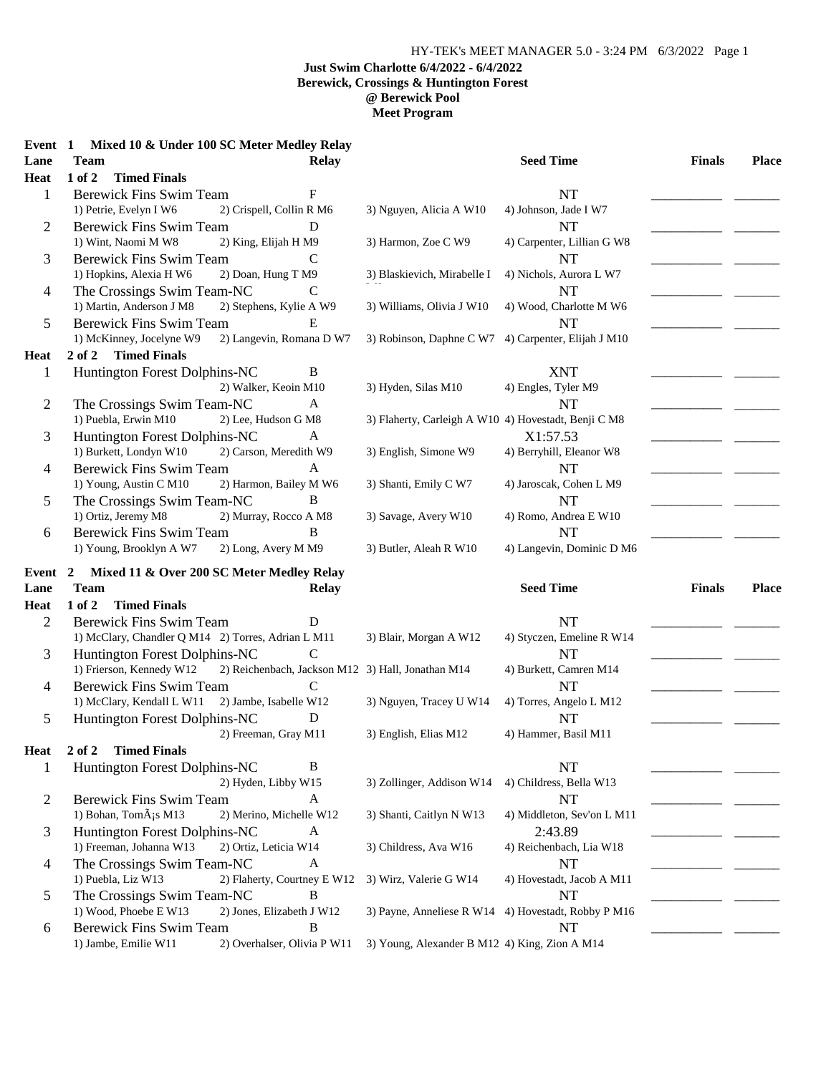| Event 1         | Mixed 10 & Under 100 SC Meter Medley Relay             |                                                   |                                                      |                            |               |              |
|-----------------|--------------------------------------------------------|---------------------------------------------------|------------------------------------------------------|----------------------------|---------------|--------------|
| Lane            | <b>Team</b>                                            | <b>Relay</b>                                      |                                                      | <b>Seed Time</b>           | <b>Finals</b> | <b>Place</b> |
| <b>Heat</b>     | 1 of 2<br><b>Timed Finals</b>                          |                                                   |                                                      |                            |               |              |
| $\mathbf{1}$    | <b>Berewick Fins Swim Team</b>                         | F                                                 |                                                      | <b>NT</b>                  |               |              |
|                 | 1) Petrie, Evelyn I W6                                 | 2) Crispell, Collin R M6                          | 3) Nguyen, Alicia A W10                              | 4) Johnson, Jade I W7      |               |              |
| $\overline{2}$  | <b>Berewick Fins Swim Team</b>                         | D                                                 |                                                      | <b>NT</b>                  |               |              |
|                 | 1) Wint, Naomi M W8                                    | 2) King, Elijah H M9                              | 3) Harmon, Zoe C W9                                  | 4) Carpenter, Lillian G W8 |               |              |
| 3               | <b>Berewick Fins Swim Team</b>                         | $\mathsf{C}$                                      |                                                      | <b>NT</b>                  |               |              |
|                 | 1) Hopkins, Alexia H W6                                | 2) Doan, Hung T M9                                | 3) Blaskievich, Mirabelle I                          | 4) Nichols, Aurora L W7    |               |              |
| 4               | The Crossings Swim Team-NC                             | $\mathsf{C}$                                      |                                                      | <b>NT</b>                  |               |              |
|                 | 1) Martin, Anderson J M8                               | 2) Stephens, Kylie A W9                           | 3) Williams, Olivia J W10                            | 4) Wood, Charlotte M W6    |               |              |
| 5               | <b>Berewick Fins Swim Team</b>                         | E                                                 |                                                      | <b>NT</b>                  |               |              |
|                 | 1) McKinney, Jocelyne W9                               | 2) Langevin, Romana D W7                          | 3) Robinson, Daphne C W7                             | 4) Carpenter, Elijah J M10 |               |              |
| <b>Heat</b>     | 2 of 2<br><b>Timed Finals</b>                          |                                                   |                                                      |                            |               |              |
| 1               | Huntington Forest Dolphins-NC                          | B                                                 |                                                      | <b>XNT</b>                 |               |              |
|                 |                                                        | 2) Walker, Keoin M10                              | 3) Hyden, Silas M10                                  | 4) Engles, Tyler M9        |               |              |
| $\overline{2}$  | The Crossings Swim Team-NC                             | A                                                 |                                                      | <b>NT</b>                  |               |              |
|                 | 1) Puebla, Erwin M10                                   | 2) Lee, Hudson G M8                               | 3) Flaherty, Carleigh A W10 4) Hovestadt, Benji C M8 |                            |               |              |
| 3               | Huntington Forest Dolphins-NC                          | A                                                 |                                                      | X1:57.53                   |               |              |
|                 | 1) Burkett, Londyn W10                                 | 2) Carson, Meredith W9                            | 3) English, Simone W9                                | 4) Berryhill, Eleanor W8   |               |              |
| 4               | <b>Berewick Fins Swim Team</b>                         | A                                                 |                                                      | <b>NT</b>                  |               |              |
|                 | 1) Young, Austin C M10                                 | 2) Harmon, Bailey M W6                            | 3) Shanti, Emily C W7                                | 4) Jaroscak, Cohen L M9    |               |              |
| 5               | The Crossings Swim Team-NC                             | B                                                 |                                                      | <b>NT</b>                  |               |              |
|                 | 1) Ortiz, Jeremy M8                                    | 2) Murray, Rocco A M8                             | 3) Savage, Avery W10                                 | 4) Romo, Andrea E W10      |               |              |
| 6               | <b>Berewick Fins Swim Team</b>                         | B                                                 |                                                      | <b>NT</b>                  |               |              |
|                 | 1) Young, Brooklyn A W7                                | 2) Long, Avery M M9                               | 3) Butler, Aleah R W10                               | 4) Langevin, Dominic D M6  |               |              |
|                 |                                                        |                                                   |                                                      |                            |               |              |
| Event 2<br>Lane | Mixed 11 & Over 200 SC Meter Medley Relay              |                                                   |                                                      |                            |               |              |
|                 |                                                        |                                                   |                                                      |                            |               |              |
|                 | <b>Team</b>                                            | <b>Relay</b>                                      |                                                      | <b>Seed Time</b>           | <b>Finals</b> | Place        |
| <b>Heat</b>     | 1 of 2<br><b>Timed Finals</b>                          |                                                   |                                                      |                            |               |              |
| $\overline{2}$  | <b>Berewick Fins Swim Team</b>                         | D                                                 |                                                      | NT                         |               |              |
|                 | 1) McClary, Chandler Q M14 2) Torres, Adrian L M11     |                                                   | 3) Blair, Morgan A W12                               | 4) Styczen, Emeline R W14  |               |              |
| 3               | Huntington Forest Dolphins-NC                          | C                                                 |                                                      | <b>NT</b>                  |               |              |
|                 | 1) Frierson, Kennedy W12                               | 2) Reichenbach, Jackson M12 3) Hall, Jonathan M14 |                                                      | 4) Burkett, Camren M14     |               |              |
| 4               | <b>Berewick Fins Swim Team</b>                         | $\mathcal{C}$                                     |                                                      | <b>NT</b>                  |               |              |
|                 | 1) McClary, Kendall L W11                              | 2) Jambe, Isabelle W12                            | 3) Nguyen, Tracey U W14                              | 4) Torres, Angelo L M12    |               |              |
| 5               | Huntington Forest Dolphins-NC                          | D                                                 |                                                      | <b>NT</b>                  |               |              |
|                 |                                                        | 2) Freeman, Gray M11                              | 3) English, Elias M12                                | 4) Hammer, Basil M11       |               |              |
| <b>Heat</b>     | 2 of 2<br><b>Timed Finals</b>                          |                                                   |                                                      |                            |               |              |
| 1               | Huntington Forest Dolphins-NC                          | B                                                 |                                                      | NT                         |               |              |
|                 |                                                        | 2) Hyden, Libby W15                               | 3) Zollinger, Addison W14                            | 4) Childress, Bella W13    |               |              |
| $\overline{c}$  | <b>Berewick Fins Swim Team</b>                         | A                                                 |                                                      | NT                         |               |              |
|                 | 1) Bohan, Tomás M13                                    | 2) Merino, Michelle W12                           | 3) Shanti, Caitlyn N W13                             | 4) Middleton, Sev'on L M11 |               |              |
| 3               | Huntington Forest Dolphins-NC                          | A                                                 |                                                      | 2:43.89                    |               |              |
|                 | 1) Freeman, Johanna W13                                | 2) Ortiz, Leticia W14                             | 3) Childress, Ava W16                                | 4) Reichenbach, Lia W18    |               |              |
| 4               | The Crossings Swim Team-NC                             | A                                                 |                                                      | NT                         |               |              |
|                 | 1) Puebla, Liz W13                                     | 2) Flaherty, Courtney E W12                       | 3) Wirz, Valerie G W14                               | 4) Hovestadt, Jacob A M11  |               |              |
| 5               | The Crossings Swim Team-NC                             | B                                                 |                                                      | NT                         |               |              |
|                 | 1) Wood, Phoebe E W13                                  | 2) Jones, Elizabeth J W12                         | 3) Payne, Anneliese R W14 4) Hovestadt, Robby P M16  |                            |               |              |
| 6               | <b>Berewick Fins Swim Team</b><br>1) Jambe, Emilie W11 | B<br>2) Overhalser, Olivia P W11                  | 3) Young, Alexander B M12 4) King, Zion A M14        | NT                         |               |              |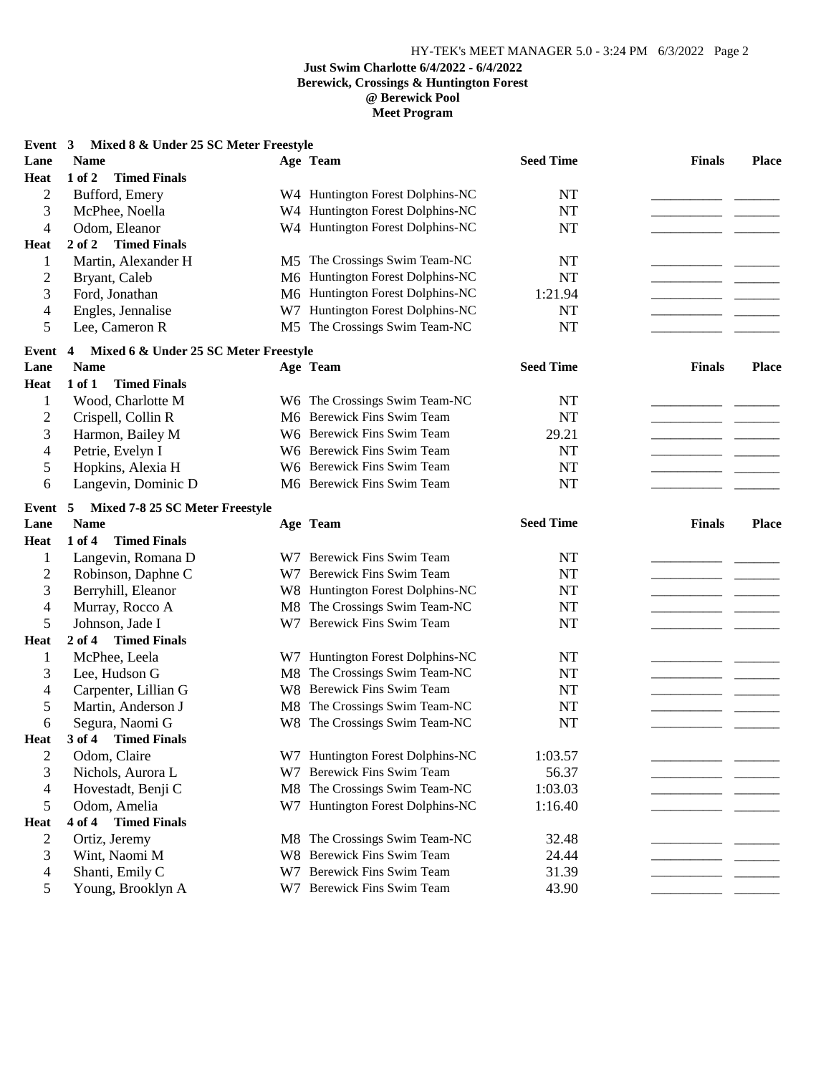| Event 3        | Mixed 8 & Under 25 SC Meter Freestyle      |     |                                  |                  |               |       |
|----------------|--------------------------------------------|-----|----------------------------------|------------------|---------------|-------|
| Lane           | <b>Name</b>                                |     | Age Team                         | <b>Seed Time</b> | <b>Finals</b> | Place |
| Heat           | 1 of 2<br><b>Timed Finals</b>              |     |                                  |                  |               |       |
| $\overline{2}$ | Bufford, Emery                             |     | W4 Huntington Forest Dolphins-NC | NT               |               |       |
| 3              | McPhee, Noella                             |     | W4 Huntington Forest Dolphins-NC | <b>NT</b>        |               |       |
| 4              | Odom, Eleanor                              |     | W4 Huntington Forest Dolphins-NC | <b>NT</b>        |               |       |
| Heat           | <b>Timed Finals</b><br>$2$ of $2$          |     |                                  |                  |               |       |
| 1              | Martin, Alexander H                        |     | M5 The Crossings Swim Team-NC    | <b>NT</b>        |               |       |
| 2              | Bryant, Caleb                              |     | M6 Huntington Forest Dolphins-NC | <b>NT</b>        |               |       |
| 3              | Ford, Jonathan                             |     | M6 Huntington Forest Dolphins-NC | 1:21.94          |               |       |
| 4              | Engles, Jennalise                          | W7  | Huntington Forest Dolphins-NC    | NT               |               |       |
| 5              | Lee, Cameron R                             | M5  | The Crossings Swim Team-NC       | <b>NT</b>        |               |       |
| Event          | Mixed 6 & Under 25 SC Meter Freestyle<br>4 |     |                                  |                  |               |       |
| Lane           | <b>Name</b>                                |     | Age Team                         | <b>Seed Time</b> | <b>Finals</b> | Place |
| <b>Heat</b>    | 1 of 1<br><b>Timed Finals</b>              |     |                                  |                  |               |       |
| 1              | Wood, Charlotte M                          |     | W6 The Crossings Swim Team-NC    | <b>NT</b>        |               |       |
| $\overline{c}$ | Crispell, Collin R                         |     | M6 Berewick Fins Swim Team       | <b>NT</b>        |               |       |
| 3              | Harmon, Bailey M                           |     | W6 Berewick Fins Swim Team       | 29.21            |               |       |
| 4              | Petrie, Evelyn I                           |     | W6 Berewick Fins Swim Team       | <b>NT</b>        |               |       |
| 5              | Hopkins, Alexia H                          |     | W6 Berewick Fins Swim Team       | <b>NT</b>        |               |       |
| 6              | Langevin, Dominic D                        |     | M6 Berewick Fins Swim Team       | <b>NT</b>        |               |       |
| Event          | Mixed 7-8 25 SC Meter Freestyle<br>5       |     |                                  |                  |               |       |
| Lane           | <b>Name</b>                                |     | Age Team                         | <b>Seed Time</b> | <b>Finals</b> | Place |
| <b>Heat</b>    | $1$ of $4$<br><b>Timed Finals</b>          |     |                                  |                  |               |       |
| 1              | Langevin, Romana D                         |     | W7 Berewick Fins Swim Team       | <b>NT</b>        |               |       |
| $\overline{c}$ | Robinson, Daphne C                         |     | W7 Berewick Fins Swim Team       | <b>NT</b>        |               |       |
| 3              | Berryhill, Eleanor                         |     | W8 Huntington Forest Dolphins-NC | <b>NT</b>        |               |       |
| 4              | Murray, Rocco A                            | M8  | The Crossings Swim Team-NC       | <b>NT</b>        |               |       |
| 5              | Johnson, Jade I                            | W7  | Berewick Fins Swim Team          | <b>NT</b>        |               |       |
| <b>Heat</b>    | <b>Timed Finals</b><br>$2$ of 4            |     |                                  |                  |               |       |
| 1              | McPhee, Leela                              |     | W7 Huntington Forest Dolphins-NC | <b>NT</b>        |               |       |
| 3              | Lee, Hudson G                              | M8  | The Crossings Swim Team-NC       | <b>NT</b>        |               |       |
| 4              | Carpenter, Lillian G                       |     | W8 Berewick Fins Swim Team       | <b>NT</b>        |               |       |
| 5              | Martin, Anderson J                         | M8  | The Crossings Swim Team-NC       | <b>NT</b>        |               |       |
| 6              | Segura, Naomi G                            |     | W8 The Crossings Swim Team-NC    | <b>NT</b>        |               |       |
| <b>Heat</b>    | <b>Timed Finals</b><br>3 of 4              |     |                                  |                  |               |       |
| 2              | Odom, Claire                               |     | W7 Huntington Forest Dolphins-NC | 1:03.57          |               |       |
| 3              | Nichols, Aurora L                          | W7  | <b>Berewick Fins Swim Team</b>   | 56.37            |               |       |
| 4              | Hovestadt, Benji C                         | M8  | The Crossings Swim Team-NC       | 1:03.03          |               |       |
| 5              | Odom, Amelia                               | W7  | Huntington Forest Dolphins-NC    | 1:16.40          |               |       |
| <b>Heat</b>    | <b>Timed Finals</b><br>4 of 4              |     |                                  |                  |               |       |
| 2              | Ortiz, Jeremy                              |     | M8 The Crossings Swim Team-NC    | 32.48            |               |       |
| 3              | Wint, Naomi M                              | W8. | <b>Berewick Fins Swim Team</b>   | 24.44            |               |       |
| 4              | Shanti, Emily C                            | W7. | <b>Berewick Fins Swim Team</b>   | 31.39            |               |       |
| 5              | Young, Brooklyn A                          |     | W7 Berewick Fins Swim Team       | 43.90            |               |       |
|                |                                            |     |                                  |                  |               |       |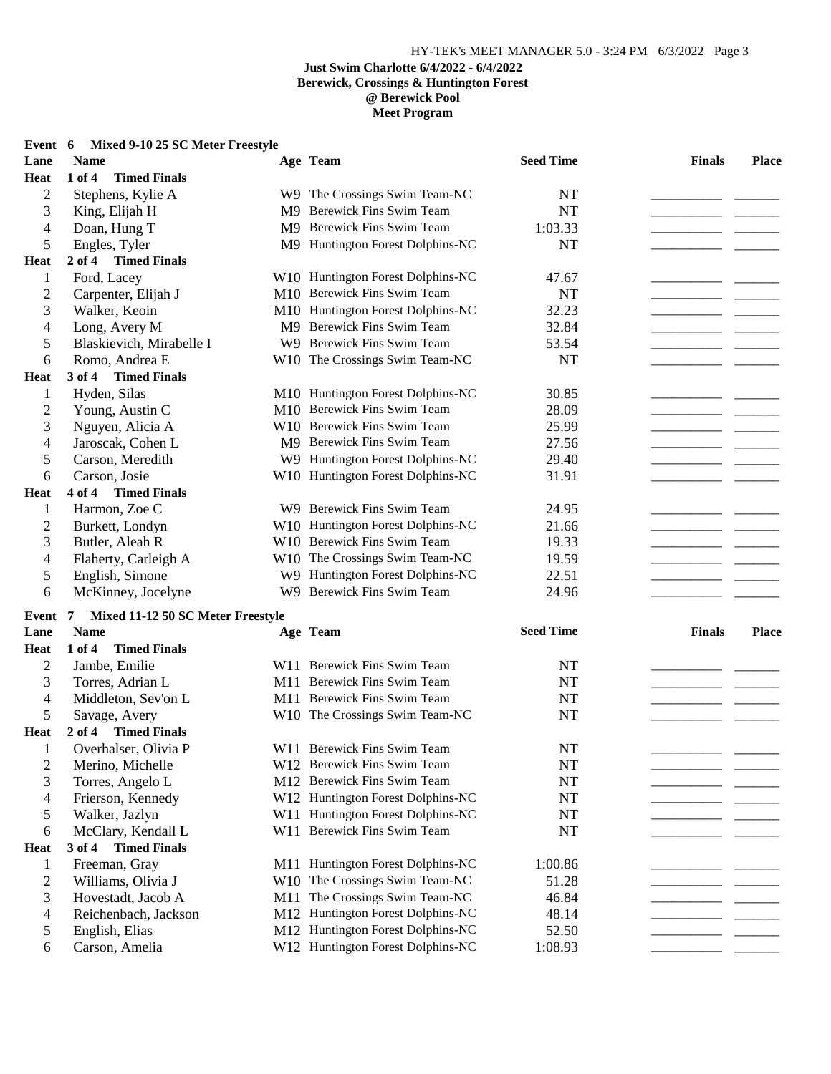#### **Event 6 Mixed 9-10 25 SC Meter Freestyle**

| Lane           | <b>Name</b>                            | Age Team                          | <b>Seed Time</b> | <b>Finals</b> | <b>Place</b> |
|----------------|----------------------------------------|-----------------------------------|------------------|---------------|--------------|
| Heat           | 1 of 4<br><b>Timed Finals</b>          |                                   |                  |               |              |
| $\overline{c}$ | Stephens, Kylie A                      | W9 The Crossings Swim Team-NC     | <b>NT</b>        |               |              |
| 3              | King, Elijah H                         | M9 Berewick Fins Swim Team        | <b>NT</b>        |               |              |
| 4              | Doan, Hung T                           | M9 Berewick Fins Swim Team        | 1:03.33          |               |              |
| 5              | Engles, Tyler                          | M9 Huntington Forest Dolphins-NC  | <b>NT</b>        |               |              |
| <b>Heat</b>    | 2 of 4 Timed Finals                    |                                   |                  |               |              |
| 1              | Ford, Lacey                            | W10 Huntington Forest Dolphins-NC | 47.67            |               |              |
| $\overline{c}$ | Carpenter, Elijah J                    | M10 Berewick Fins Swim Team       | <b>NT</b>        |               |              |
| 3              | Walker, Keoin                          | M10 Huntington Forest Dolphins-NC | 32.23            |               |              |
| 4              | Long, Avery M                          | M9 Berewick Fins Swim Team        | 32.84            |               |              |
| 5              | Blaskievich, Mirabelle I               | W9 Berewick Fins Swim Team        | 53.54            |               |              |
| 6              | Romo, Andrea E                         | W10 The Crossings Swim Team-NC    | <b>NT</b>        |               |              |
| <b>Heat</b>    | 3 of 4 Timed Finals                    |                                   |                  |               |              |
| 1              | Hyden, Silas                           | M10 Huntington Forest Dolphins-NC | 30.85            |               |              |
| $\overline{c}$ | Young, Austin C                        | M10 Berewick Fins Swim Team       | 28.09            |               |              |
| 3              | Nguyen, Alicia A                       | W10 Berewick Fins Swim Team       | 25.99            |               |              |
| 4              | Jaroscak, Cohen L                      | M9 Berewick Fins Swim Team        | 27.56            |               |              |
| 5              | Carson, Meredith                       | W9 Huntington Forest Dolphins-NC  | 29.40            |               |              |
| 6              | Carson, Josie                          | W10 Huntington Forest Dolphins-NC | 31.91            |               |              |
| <b>Heat</b>    | <b>Timed Finals</b><br>4 of 4          |                                   |                  |               |              |
|                | Harmon, Zoe C                          | W9 Berewick Fins Swim Team        | 24.95            |               |              |
| $\mathbf{1}$   |                                        | W10 Huntington Forest Dolphins-NC | 21.66            |               |              |
| $\mathbf{2}$   | Burkett, Londyn                        | W10 Berewick Fins Swim Team       |                  |               |              |
| 3              | Butler, Aleah R                        |                                   | 19.33            |               |              |
| 4              | Flaherty, Carleigh A                   | W10 The Crossings Swim Team-NC    | 19.59            |               |              |
| 5              | English, Simone                        | W9 Huntington Forest Dolphins-NC  | 22.51            |               |              |
| 6              | McKinney, Jocelyne                     | W9 Berewick Fins Swim Team        | 24.96            |               |              |
| Event          | Mixed 11-12 50 SC Meter Freestyle<br>7 |                                   |                  |               |              |
| Lane           | <b>Name</b>                            | Age Team                          | <b>Seed Time</b> | <b>Finals</b> | <b>Place</b> |
| <b>Heat</b>    | $1$ of $4$<br><b>Timed Finals</b>      |                                   |                  |               |              |
| $\overline{c}$ | Jambe, Emilie                          | W11 Berewick Fins Swim Team       | <b>NT</b>        |               |              |
| 3              | Torres, Adrian L                       | M11 Berewick Fins Swim Team       | <b>NT</b>        |               |              |
| $\overline{4}$ | Middleton, Sev'on L                    | M11 Berewick Fins Swim Team       | <b>NT</b>        |               |              |
| 5              | Savage, Avery                          | W10 The Crossings Swim Team-NC    | <b>NT</b>        |               |              |
| <b>Heat</b>    | <b>Timed Finals</b><br>2 of 4          |                                   |                  |               |              |
| 1              | Overhalser, Olivia P                   | W11 Berewick Fins Swim Team       | <b>NT</b>        |               |              |
| $\overline{c}$ | Merino, Michelle                       | W12 Berewick Fins Swim Team       | NT               |               |              |
| 3              | Torres, Angelo L                       | M12 Berewick Fins Swim Team       | NT               |               |              |
| 4              | Frierson, Kennedy                      | W12 Huntington Forest Dolphins-NC | <b>NT</b>        |               |              |
| 5              | Walker, Jazlyn                         | W11 Huntington Forest Dolphins-NC | NT               |               |              |
| 6              | McClary, Kendall L                     | W11 Berewick Fins Swim Team       | <b>NT</b>        |               |              |
| <b>Heat</b>    | <b>Timed Finals</b><br>3 of 4          |                                   |                  |               |              |
| $\mathbf{1}$   | Freeman, Gray                          | M11 Huntington Forest Dolphins-NC | 1:00.86          |               |              |
| $\overline{c}$ | Williams, Olivia J                     | W10 The Crossings Swim Team-NC    | 51.28            |               |              |
| 3              | Hovestadt, Jacob A                     | M11 The Crossings Swim Team-NC    | 46.84            |               |              |
| 4              | Reichenbach, Jackson                   | M12 Huntington Forest Dolphins-NC | 48.14            |               |              |
| 5              | English, Elias                         | M12 Huntington Forest Dolphins-NC | 52.50            |               |              |
| 6              | Carson, Amelia                         | W12 Huntington Forest Dolphins-NC | 1:08.93          |               |              |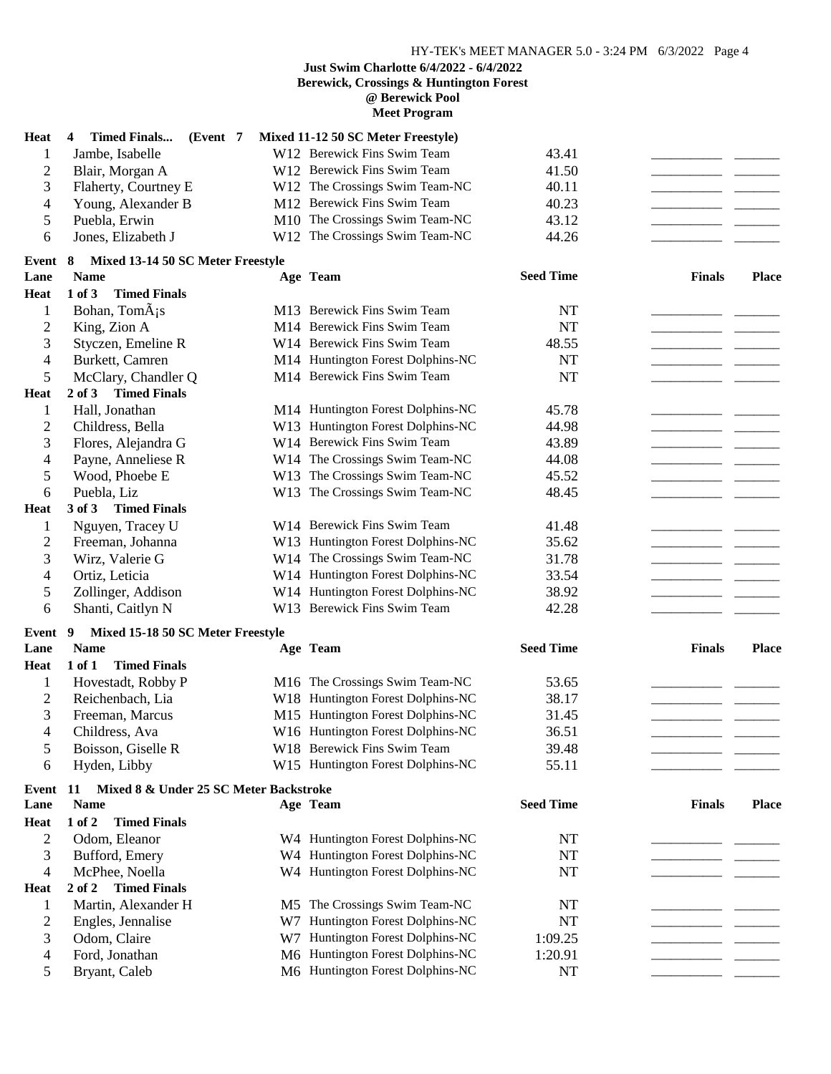| Heat           | <b>Timed Finals</b><br>(Event 7<br>4             |    | Mixed 11-12 50 SC Meter Freestyle) |                  |               |       |
|----------------|--------------------------------------------------|----|------------------------------------|------------------|---------------|-------|
| 1              | Jambe, Isabelle                                  |    | W12 Berewick Fins Swim Team        | 43.41            |               |       |
| $\overline{2}$ | Blair, Morgan A                                  |    | W12 Berewick Fins Swim Team        | 41.50            |               |       |
| 3              | Flaherty, Courtney E                             |    | W12 The Crossings Swim Team-NC     | 40.11            |               |       |
| 4              | Young, Alexander B                               |    | M12 Berewick Fins Swim Team        | 40.23            |               |       |
| 5              | Puebla, Erwin                                    |    | M10 The Crossings Swim Team-NC     | 43.12            |               |       |
| 6              | Jones, Elizabeth J                               |    | W12 The Crossings Swim Team-NC     | 44.26            |               |       |
|                | 8                                                |    |                                    |                  |               |       |
| Event<br>Lane  | Mixed 13-14 50 SC Meter Freestyle<br><b>Name</b> |    | Age Team                           | <b>Seed Time</b> | <b>Finals</b> | Place |
| <b>Heat</b>    | $1$ of $3$<br><b>Timed Finals</b>                |    |                                    |                  |               |       |
| $\mathbf{1}$   | Bohan, TomÂ;s                                    |    | M13 Berewick Fins Swim Team        | NT               |               |       |
| $\overline{2}$ | King, Zion A                                     |    | M14 Berewick Fins Swim Team        | <b>NT</b>        |               |       |
| 3              | Styczen, Emeline R                               |    | W14 Berewick Fins Swim Team        | 48.55            |               |       |
| 4              | Burkett, Camren                                  |    | M14 Huntington Forest Dolphins-NC  | <b>NT</b>        |               |       |
| 5              | McClary, Chandler Q                              |    | M14 Berewick Fins Swim Team        | <b>NT</b>        |               |       |
| <b>Heat</b>    | $2$ of $3$<br><b>Timed Finals</b>                |    |                                    |                  |               |       |
| 1              | Hall, Jonathan                                   |    | M14 Huntington Forest Dolphins-NC  | 45.78            |               |       |
| $\overline{2}$ | Childress, Bella                                 |    | W13 Huntington Forest Dolphins-NC  | 44.98            |               |       |
| 3              | Flores, Alejandra G                              |    | W14 Berewick Fins Swim Team        | 43.89            |               |       |
| 4              | Payne, Anneliese R                               |    | W14 The Crossings Swim Team-NC     | 44.08            |               |       |
| 5              | Wood, Phoebe E                                   |    | W13 The Crossings Swim Team-NC     | 45.52            |               |       |
| 6              | Puebla, Liz                                      |    | W13 The Crossings Swim Team-NC     | 48.45            |               |       |
| <b>Heat</b>    | 3 of 3 Timed Finals                              |    |                                    |                  |               |       |
| 1              | Nguyen, Tracey U                                 |    | W14 Berewick Fins Swim Team        | 41.48            |               |       |
| $\overline{c}$ | Freeman, Johanna                                 |    | W13 Huntington Forest Dolphins-NC  | 35.62            |               |       |
| 3              | Wirz, Valerie G                                  |    | W14 The Crossings Swim Team-NC     | 31.78            |               |       |
| 4              | Ortiz, Leticia                                   |    | W14 Huntington Forest Dolphins-NC  | 33.54            |               |       |
| 5              | Zollinger, Addison                               |    | W14 Huntington Forest Dolphins-NC  | 38.92            |               |       |
| 6              | Shanti, Caitlyn N                                |    | W13 Berewick Fins Swim Team        | 42.28            |               |       |
|                |                                                  |    |                                    |                  |               |       |
| Event          | Mixed 15-18 50 SC Meter Freestyle<br>9           |    |                                    |                  |               |       |
| Lane           | <b>Name</b>                                      |    | Age Team                           | <b>Seed Time</b> | <b>Finals</b> | Place |
| <b>Heat</b>    | <b>Timed Finals</b><br>1 of 1                    |    |                                    |                  |               |       |
| $\mathbf{1}$   | Hovestadt, Robby P                               |    | M16 The Crossings Swim Team-NC     | 53.65            |               |       |
| $\overline{c}$ | Reichenbach, Lia                                 |    | W18 Huntington Forest Dolphins-NC  | 38.17            |               |       |
| 3              | Freeman, Marcus                                  |    | M15 Huntington Forest Dolphins-NC  | 31.45            |               |       |
| $\overline{4}$ | Childress, Ava                                   |    | W16 Huntington Forest Dolphins-NC  | 36.51            |               |       |
| 5              | Boisson, Giselle R                               |    | W18 Berewick Fins Swim Team        | 39.48            |               |       |
| 6              | Hyden, Libby                                     |    | W15 Huntington Forest Dolphins-NC  | 55.11            |               |       |
| Event          | Mixed 8 & Under 25 SC Meter Backstroke<br>11     |    |                                    |                  |               |       |
| Lane           | <b>Name</b>                                      |    | Age Team                           | <b>Seed Time</b> | <b>Finals</b> | Place |
| Heat           | <b>Timed Finals</b><br>1 of 2                    |    |                                    |                  |               |       |
| $\overline{2}$ | Odom, Eleanor                                    |    | W4 Huntington Forest Dolphins-NC   | NT               |               |       |
| 3              | Bufford, Emery                                   |    | W4 Huntington Forest Dolphins-NC   | NT               |               |       |
| 4              | McPhee, Noella                                   |    | W4 Huntington Forest Dolphins-NC   | NT               |               |       |
| Heat           | <b>Timed Finals</b><br>2 of 2                    |    |                                    |                  |               |       |
| 1              | Martin, Alexander H                              |    | M5 The Crossings Swim Team-NC      | NT               |               |       |
| 2              | Engles, Jennalise                                | W7 | Huntington Forest Dolphins-NC      | <b>NT</b>        |               |       |
| 3              | Odom, Claire                                     | W7 | Huntington Forest Dolphins-NC      | 1:09.25          |               |       |
| 4              | Ford, Jonathan                                   |    | M6 Huntington Forest Dolphins-NC   | 1:20.91          |               |       |
| 5              | Bryant, Caleb                                    |    | M6 Huntington Forest Dolphins-NC   | NT               |               |       |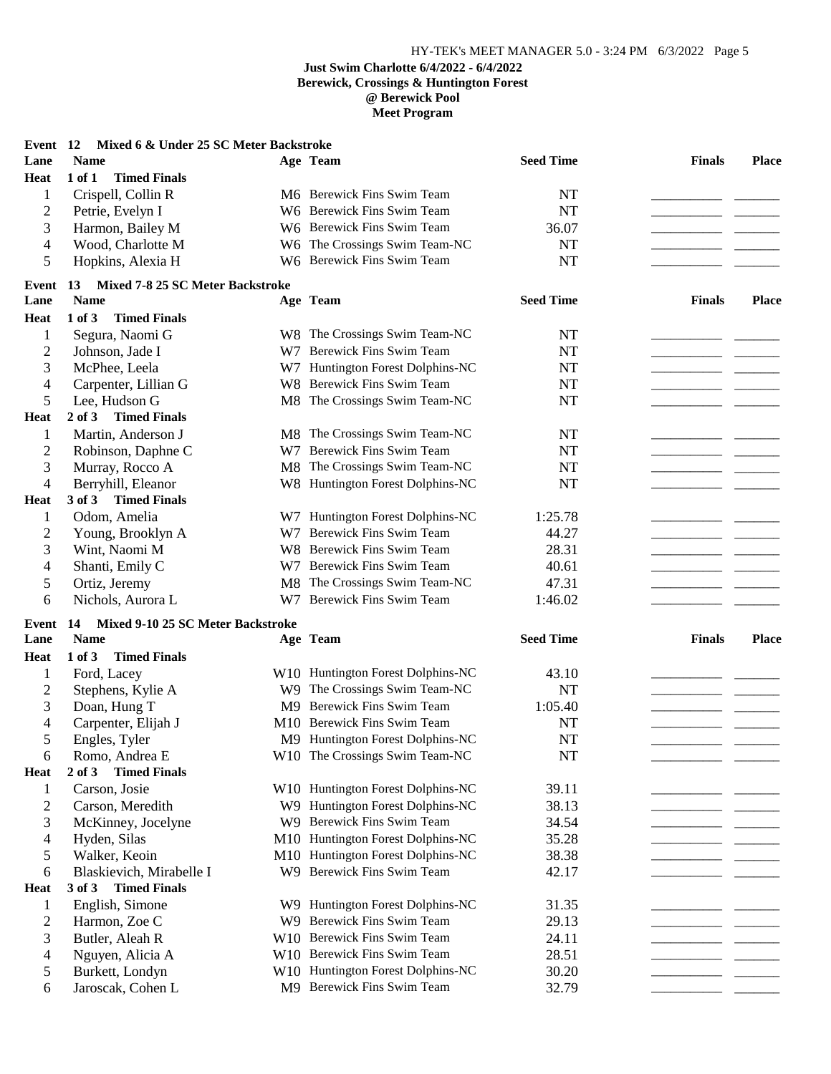| Event 12       | Mixed 6 & Under 25 SC Meter Backstroke  |     |                                   |                  |               |              |
|----------------|-----------------------------------------|-----|-----------------------------------|------------------|---------------|--------------|
| Lane           | <b>Name</b>                             |     | Age Team                          | <b>Seed Time</b> | <b>Finals</b> | <b>Place</b> |
| <b>Heat</b>    | <b>Timed Finals</b><br>1 of 1           |     |                                   |                  |               |              |
| 1              | Crispell, Collin R                      |     | M6 Berewick Fins Swim Team        | NT               |               |              |
| $\overline{2}$ | Petrie, Evelyn I                        |     | W6 Berewick Fins Swim Team        | <b>NT</b>        |               |              |
| 3              | Harmon, Bailey M                        |     | W6 Berewick Fins Swim Team        | 36.07            |               |              |
| 4              | Wood, Charlotte M                       |     | W6 The Crossings Swim Team-NC     | <b>NT</b>        |               |              |
| 5              | Hopkins, Alexia H                       |     | W6 Berewick Fins Swim Team        | <b>NT</b>        |               |              |
| Event          | Mixed 7-8 25 SC Meter Backstroke<br>13  |     |                                   |                  |               |              |
| Lane           | <b>Name</b>                             |     | Age Team                          | <b>Seed Time</b> | <b>Finals</b> | <b>Place</b> |
| <b>Heat</b>    | $1$ of $3$<br><b>Timed Finals</b>       |     |                                   |                  |               |              |
| $\mathbf{1}$   | Segura, Naomi G                         |     | W8 The Crossings Swim Team-NC     | NT               |               |              |
| $\overline{2}$ | Johnson, Jade I                         |     | W7 Berewick Fins Swim Team        | <b>NT</b>        |               |              |
| 3              | McPhee, Leela                           | W7  | Huntington Forest Dolphins-NC     | <b>NT</b>        |               |              |
| 4              | Carpenter, Lillian G                    |     | W8 Berewick Fins Swim Team        | <b>NT</b>        |               |              |
| 5              | Lee, Hudson G                           |     | M8 The Crossings Swim Team-NC     | <b>NT</b>        |               |              |
| <b>Heat</b>    | $2$ of $3$<br><b>Timed Finals</b>       |     |                                   |                  |               |              |
| 1              | Martin, Anderson J                      |     | M8 The Crossings Swim Team-NC     | <b>NT</b>        |               |              |
| $\overline{2}$ | Robinson, Daphne C                      | W7  | <b>Berewick Fins Swim Team</b>    | <b>NT</b>        |               |              |
| 3              | Murray, Rocco A                         | M8  | The Crossings Swim Team-NC        | <b>NT</b>        |               |              |
| 4              | Berryhill, Eleanor                      |     | W8 Huntington Forest Dolphins-NC  | <b>NT</b>        |               |              |
| <b>Heat</b>    | 3 of 3 Timed Finals                     |     |                                   |                  |               |              |
| 1              | Odom, Amelia                            |     | W7 Huntington Forest Dolphins-NC  | 1:25.78          |               |              |
| $\overline{c}$ | Young, Brooklyn A                       | W7. | <b>Berewick Fins Swim Team</b>    | 44.27            |               |              |
| 3              | Wint, Naomi M                           |     | W8 Berewick Fins Swim Team        | 28.31            |               |              |
| 4              | Shanti, Emily C                         | W7  | <b>Berewick Fins Swim Team</b>    | 40.61            |               |              |
| 5              | Ortiz, Jeremy                           | M8. | The Crossings Swim Team-NC        | 47.31            |               |              |
| 6              | Nichols, Aurora L                       |     | W7 Berewick Fins Swim Team        | 1:46.02          |               |              |
| Event          | Mixed 9-10 25 SC Meter Backstroke<br>14 |     |                                   |                  |               |              |
| Lane           | <b>Name</b>                             |     | Age Team                          | <b>Seed Time</b> | <b>Finals</b> | <b>Place</b> |
| <b>Heat</b>    | <b>Timed Finals</b><br>$1$ of $3$       |     |                                   |                  |               |              |
| 1              | Ford, Lacey                             |     | W10 Huntington Forest Dolphins-NC | 43.10            |               |              |
| $\overline{c}$ | Stephens, Kylie A                       |     | W9 The Crossings Swim Team-NC     | <b>NT</b>        |               |              |
| 3              | Doan, Hung T                            |     | M9 Berewick Fins Swim Team        | 1:05.40          |               |              |
| 4              | Carpenter, Elijah J                     |     | M10 Berewick Fins Swim Team       | NT               |               |              |
| 5              | Engles, Tyler                           |     | M9 Huntington Forest Dolphins-NC  | <b>NT</b>        |               |              |
| 6              | Romo, Andrea E                          |     | W10 The Crossings Swim Team-NC    | <b>NT</b>        |               |              |
| Heat           | <b>Timed Finals</b><br>$2$ of $3$       |     |                                   |                  |               |              |
| 1              | Carson, Josie                           |     | W10 Huntington Forest Dolphins-NC | 39.11            |               |              |
| $\mathfrak{2}$ | Carson, Meredith                        |     | W9 Huntington Forest Dolphins-NC  | 38.13            |               |              |
| 3              | McKinney, Jocelyne                      | W9. | <b>Berewick Fins Swim Team</b>    | 34.54            |               |              |
| 4              | Hyden, Silas                            |     | M10 Huntington Forest Dolphins-NC | 35.28            |               |              |
| 5              | Walker, Keoin                           |     | M10 Huntington Forest Dolphins-NC | 38.38            |               |              |
| 6              | Blaskievich, Mirabelle I                |     | W9 Berewick Fins Swim Team        | 42.17            |               |              |
| Heat           | 3 of 3<br><b>Timed Finals</b>           |     |                                   |                  |               |              |
| 1              | English, Simone                         |     | W9 Huntington Forest Dolphins-NC  | 31.35            |               |              |
| $\overline{c}$ | Harmon, Zoe C                           |     | W9 Berewick Fins Swim Team        | 29.13            |               |              |
| 3              | Butler, Aleah R                         |     | W10 Berewick Fins Swim Team       | 24.11            |               |              |
| 4              | Nguyen, Alicia A                        |     | W10 Berewick Fins Swim Team       | 28.51            |               |              |
| 5              | Burkett, Londyn                         |     | W10 Huntington Forest Dolphins-NC | 30.20            |               |              |
| 6              | Jaroscak, Cohen L                       |     | M9 Berewick Fins Swim Team        | 32.79            |               |              |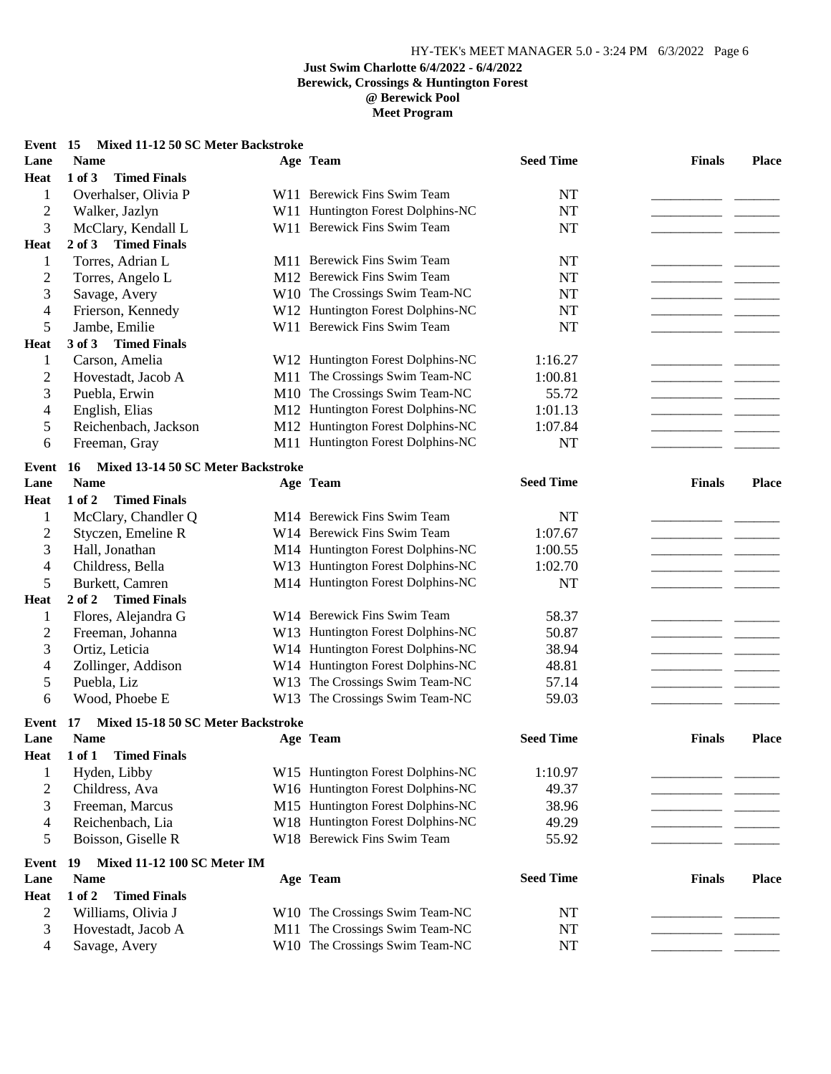| Event 15       | Mixed 11-12 50 SC Meter Backstroke       |                                   |                  |               |       |
|----------------|------------------------------------------|-----------------------------------|------------------|---------------|-------|
| Lane           | <b>Name</b>                              | Age Team                          | <b>Seed Time</b> | <b>Finals</b> | Place |
| <b>Heat</b>    | $1$ of $3$<br><b>Timed Finals</b>        |                                   |                  |               |       |
| 1              | Overhalser, Olivia P                     | W11 Berewick Fins Swim Team       | <b>NT</b>        |               |       |
| $\overline{c}$ | Walker, Jazlyn                           | W11 Huntington Forest Dolphins-NC | <b>NT</b>        |               |       |
| 3              | McClary, Kendall L                       | W11 Berewick Fins Swim Team       | <b>NT</b>        |               |       |
| <b>Heat</b>    | <b>Timed Finals</b><br>$2$ of $3$        |                                   |                  |               |       |
| 1              | Torres, Adrian L                         | M11 Berewick Fins Swim Team       | <b>NT</b>        |               |       |
| $\overline{2}$ | Torres, Angelo L                         | M12 Berewick Fins Swim Team       | <b>NT</b>        |               |       |
| 3              | Savage, Avery                            | W10 The Crossings Swim Team-NC    | <b>NT</b>        |               |       |
| 4              | Frierson, Kennedy                        | W12 Huntington Forest Dolphins-NC | <b>NT</b>        |               |       |
| 5              | Jambe, Emilie                            | W11 Berewick Fins Swim Team       | <b>NT</b>        |               |       |
| <b>Heat</b>    | 3 of 3 Timed Finals                      |                                   |                  |               |       |
| 1              | Carson, Amelia                           | W12 Huntington Forest Dolphins-NC | 1:16.27          |               |       |
| $\overline{2}$ | Hovestadt, Jacob A                       | M11 The Crossings Swim Team-NC    | 1:00.81          |               |       |
| 3              | Puebla, Erwin                            | M10 The Crossings Swim Team-NC    | 55.72            |               |       |
| 4              | English, Elias                           | M12 Huntington Forest Dolphins-NC | 1:01.13          |               |       |
| 5              | Reichenbach, Jackson                     | M12 Huntington Forest Dolphins-NC | 1:07.84          |               |       |
| 6              | Freeman, Gray                            | M11 Huntington Forest Dolphins-NC | <b>NT</b>        |               |       |
|                |                                          |                                   |                  |               |       |
| Event          | Mixed 13-14 50 SC Meter Backstroke<br>16 |                                   |                  |               |       |
| Lane           | <b>Name</b>                              | Age Team                          | <b>Seed Time</b> | <b>Finals</b> | Place |
| <b>Heat</b>    | <b>Timed Finals</b><br>1 of 2            |                                   |                  |               |       |
| 1              | McClary, Chandler Q                      | M14 Berewick Fins Swim Team       | NT               |               |       |
| $\overline{c}$ | Styczen, Emeline R                       | W14 Berewick Fins Swim Team       | 1:07.67          |               |       |
| 3              | Hall, Jonathan                           | M14 Huntington Forest Dolphins-NC | 1:00.55          |               |       |
| 4              | Childress, Bella                         | W13 Huntington Forest Dolphins-NC | 1:02.70          |               |       |
| 5              | Burkett, Camren                          | M14 Huntington Forest Dolphins-NC | <b>NT</b>        |               |       |
| <b>Heat</b>    | <b>Timed Finals</b><br>$2$ of $2$        |                                   |                  |               |       |
| 1              | Flores, Alejandra G                      | W14 Berewick Fins Swim Team       | 58.37            |               |       |
| $\overline{c}$ | Freeman, Johanna                         | W13 Huntington Forest Dolphins-NC | 50.87            |               |       |
| 3              | Ortiz, Leticia                           | W14 Huntington Forest Dolphins-NC | 38.94            |               |       |
| 4              | Zollinger, Addison                       | W14 Huntington Forest Dolphins-NC | 48.81            |               |       |
| 5              | Puebla, Liz                              | W13 The Crossings Swim Team-NC    | 57.14            |               |       |
| 6              | Wood, Phoebe E                           | W13 The Crossings Swim Team-NC    | 59.03            |               |       |
| Event          | Mixed 15-18 50 SC Meter Backstroke<br>17 |                                   |                  |               |       |
| Lane           | <b>Name</b>                              | Age Team                          | <b>Seed Time</b> | <b>Finals</b> | Place |
| Heat           | <b>Timed Finals</b><br>$1$ of $1$        |                                   |                  |               |       |
| 1              | Hyden, Libby                             | W15 Huntington Forest Dolphins-NC | 1:10.97          |               |       |
| $\overline{c}$ | Childress, Ava                           | W16 Huntington Forest Dolphins-NC | 49.37            |               |       |
| 3              | Freeman, Marcus                          | M15 Huntington Forest Dolphins-NC | 38.96            |               |       |
| 4              | Reichenbach, Lia                         | W18 Huntington Forest Dolphins-NC | 49.29            |               |       |
| 5              | Boisson, Giselle R                       | W18 Berewick Fins Swim Team       | 55.92            |               |       |
|                |                                          |                                   |                  |               |       |
| Event          | Mixed 11-12 100 SC Meter IM<br>19        |                                   |                  |               |       |
| Lane           | <b>Name</b>                              | Age Team                          | <b>Seed Time</b> | <b>Finals</b> | Place |
| Heat           | 1 of 2<br><b>Timed Finals</b>            |                                   |                  |               |       |
| $\overline{2}$ | Williams, Olivia J                       | W10 The Crossings Swim Team-NC    | NT               |               |       |
| 3              | Hovestadt, Jacob A                       | M11 The Crossings Swim Team-NC    | <b>NT</b>        |               |       |
| 4              | Savage, Avery                            | W10 The Crossings Swim Team-NC    | NT               |               |       |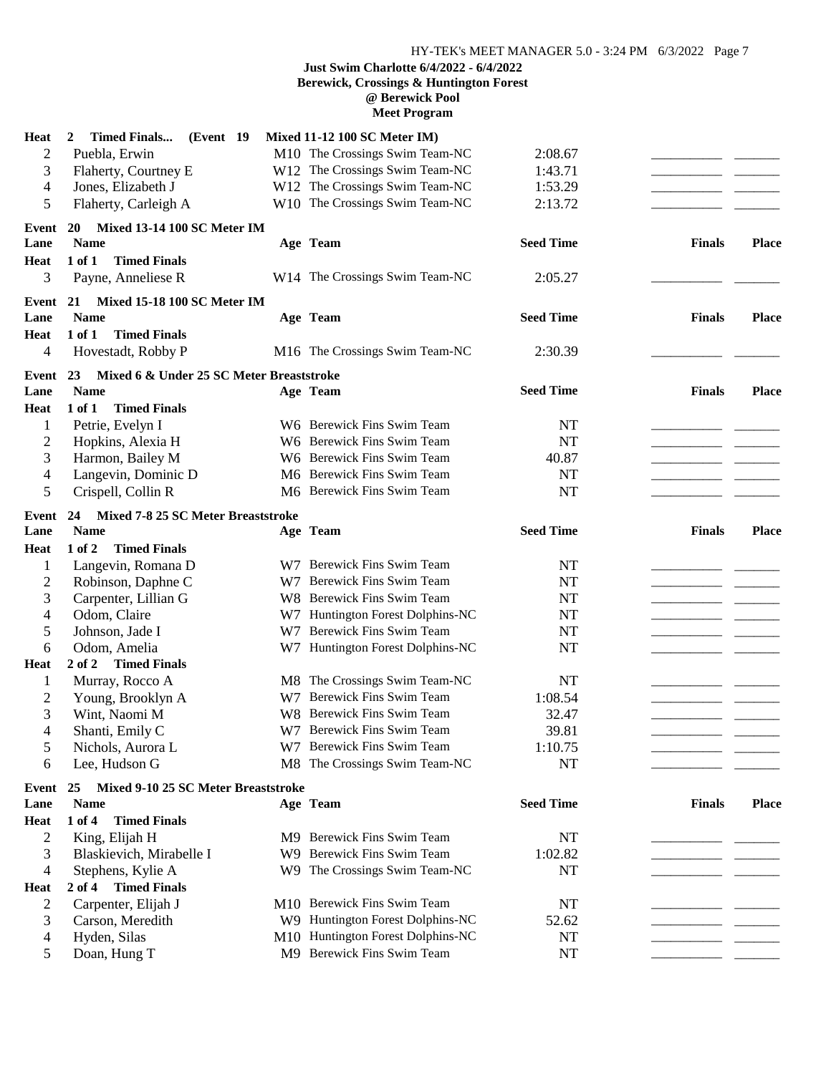| <b>Heat</b>    | $\mathbf{2}$<br><b>Timed Finals</b><br>(Event 19) | <b>Mixed 11-12 100 SC Meter IM)</b>                             |                  |               |              |
|----------------|---------------------------------------------------|-----------------------------------------------------------------|------------------|---------------|--------------|
| $\overline{2}$ | Puebla, Erwin                                     | M10 The Crossings Swim Team-NC                                  | 2:08.67          |               |              |
| 3              | Flaherty, Courtney E                              | W12 The Crossings Swim Team-NC                                  | 1:43.71          |               |              |
| 4              | Jones, Elizabeth J                                | W12 The Crossings Swim Team-NC                                  | 1:53.29          |               |              |
| 5              | Flaherty, Carleigh A                              | W10 The Crossings Swim Team-NC                                  | 2:13.72          |               |              |
| Event          | <b>Mixed 13-14 100 SC Meter IM</b><br><b>20</b>   |                                                                 |                  |               |              |
| Lane           | <b>Name</b>                                       | Age Team                                                        | <b>Seed Time</b> | <b>Finals</b> | <b>Place</b> |
| <b>Heat</b>    | 1 of 1<br><b>Timed Finals</b>                     |                                                                 |                  |               |              |
| 3              | Payne, Anneliese R                                | W14 The Crossings Swim Team-NC                                  | 2:05.27          |               |              |
| Event          | <b>Mixed 15-18 100 SC Meter IM</b><br>21          |                                                                 |                  |               |              |
| Lane           | <b>Name</b>                                       | Age Team                                                        | <b>Seed Time</b> | <b>Finals</b> | <b>Place</b> |
| <b>Heat</b>    | 1 of 1<br><b>Timed Finals</b>                     |                                                                 |                  |               |              |
| $\overline{4}$ | Hovestadt, Robby P                                | M16 The Crossings Swim Team-NC                                  | 2:30.39          |               |              |
| Event          | Mixed 6 & Under 25 SC Meter Breaststroke<br>23    |                                                                 |                  |               |              |
| Lane           | <b>Name</b>                                       | Age Team                                                        | <b>Seed Time</b> | <b>Finals</b> | <b>Place</b> |
| <b>Heat</b>    | 1 of 1<br><b>Timed Finals</b>                     |                                                                 |                  |               |              |
| $\mathbf{1}$   | Petrie, Evelyn I                                  | W6 Berewick Fins Swim Team                                      | NT               |               |              |
| $\mathbf{c}$   | Hopkins, Alexia H                                 | W6 Berewick Fins Swim Team                                      | <b>NT</b>        |               |              |
| 3              | Harmon, Bailey M                                  | W6 Berewick Fins Swim Team                                      | 40.87            |               |              |
| $\overline{4}$ | Langevin, Dominic D                               | M6 Berewick Fins Swim Team                                      | <b>NT</b>        |               |              |
| 5              | Crispell, Collin R                                | M6 Berewick Fins Swim Team                                      | <b>NT</b>        |               |              |
|                |                                                   |                                                                 |                  |               |              |
| Event          | Mixed 7-8 25 SC Meter Breaststroke<br>24          |                                                                 |                  |               |              |
| Lane           | <b>Name</b>                                       | Age Team                                                        | <b>Seed Time</b> | <b>Finals</b> | <b>Place</b> |
| <b>Heat</b>    | 1 of 2<br><b>Timed Finals</b>                     |                                                                 |                  |               |              |
| 1              | Langevin, Romana D                                | W7 Berewick Fins Swim Team                                      | <b>NT</b>        |               |              |
| $\overline{c}$ | Robinson, Daphne C                                | W7 Berewick Fins Swim Team                                      | <b>NT</b>        |               |              |
| 3              | Carpenter, Lillian G                              | W8 Berewick Fins Swim Team                                      | <b>NT</b>        |               |              |
| 4              | Odom, Claire                                      | W7 Huntington Forest Dolphins-NC                                | <b>NT</b>        |               |              |
| 5              | Johnson, Jade I                                   | W7 Berewick Fins Swim Team                                      | <b>NT</b>        |               |              |
| 6              | Odom, Amelia                                      | W7 Huntington Forest Dolphins-NC                                | <b>NT</b>        |               |              |
| <b>Heat</b>    | <b>Timed Finals</b><br>2 of 2                     |                                                                 |                  |               |              |
| $\mathbf{1}$   | Murray, Rocco A                                   | M8 The Crossings Swim Team-NC                                   | <b>NT</b>        |               |              |
| $\mathbf{c}$   | Young, Brooklyn A                                 | W7 Berewick Fins Swim Team                                      | 1:08.54          |               |              |
| 3              | Wint, Naomi M                                     | W8 Berewick Fins Swim Team                                      | 32.47            |               |              |
| $\overline{4}$ | Shanti, Emily C                                   | W7 Berewick Fins Swim Team                                      | 39.81            |               |              |
| 5              | Nichols, Aurora L                                 | W7 Berewick Fins Swim Team                                      | 1:10.75          |               |              |
| 6              | Lee, Hudson G                                     | M8 The Crossings Swim Team-NC                                   | <b>NT</b>        |               |              |
| Event          | Mixed 9-10 25 SC Meter Breaststroke<br>25         |                                                                 |                  |               |              |
| Lane           | <b>Name</b>                                       | Age Team                                                        | <b>Seed Time</b> | <b>Finals</b> | Place        |
| <b>Heat</b>    | $1$ of $4$<br><b>Timed Finals</b>                 |                                                                 |                  |               |              |
| $\overline{c}$ |                                                   | M9 Berewick Fins Swim Team                                      | NT               |               |              |
|                | King, Elijah H                                    |                                                                 |                  |               |              |
| 3              | Blaskievich, Mirabelle I                          | W9 Berewick Fins Swim Team                                      | 1:02.82          |               |              |
| 4              | Stephens, Kylie A                                 | W9 The Crossings Swim Team-NC                                   | NT               |               |              |
| <b>Heat</b>    | <b>Timed Finals</b><br>$2$ of 4                   |                                                                 |                  |               |              |
| $\overline{c}$ | Carpenter, Elijah J                               | M10 Berewick Fins Swim Team                                     | NT               |               |              |
| 3              | Carson, Meredith                                  | W9 Huntington Forest Dolphins-NC                                | 52.62            |               |              |
| 4              | Hyden, Silas                                      | M10 Huntington Forest Dolphins-NC<br>M9 Berewick Fins Swim Team | NT               |               |              |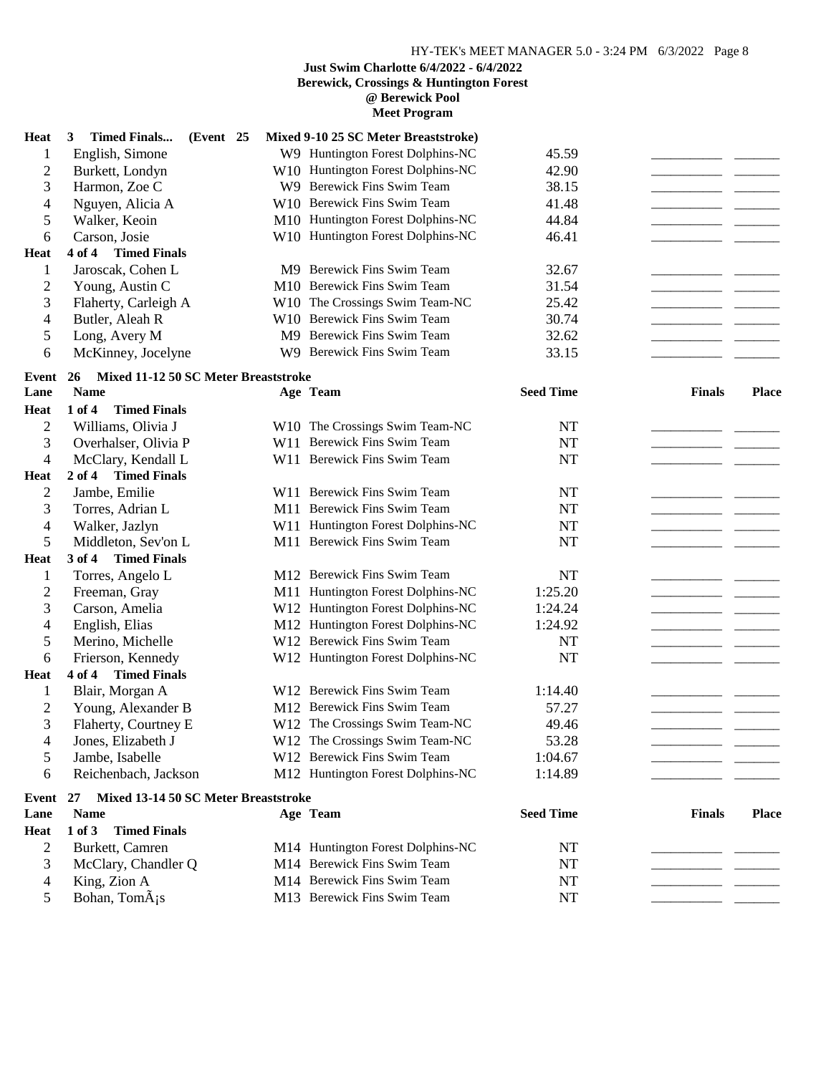# **Meet Program**

| Heat           | <b>Timed Finals</b><br>3<br>(Event 25                     | Mixed 9-10 25 SC Meter Breaststroke) |                  |               |              |
|----------------|-----------------------------------------------------------|--------------------------------------|------------------|---------------|--------------|
| 1              | English, Simone                                           | W9 Huntington Forest Dolphins-NC     | 45.59            |               |              |
| 2              | Burkett, Londyn                                           | W10 Huntington Forest Dolphins-NC    | 42.90            |               |              |
| 3              | Harmon, Zoe C                                             | W9 Berewick Fins Swim Team           | 38.15            |               |              |
| 4              | Nguyen, Alicia A                                          | W10 Berewick Fins Swim Team          | 41.48            |               |              |
| 5              | Walker, Keoin                                             | M10 Huntington Forest Dolphins-NC    | 44.84            |               |              |
| 6              | Carson, Josie                                             | W10 Huntington Forest Dolphins-NC    | 46.41            |               |              |
| <b>Heat</b>    | <b>Timed Finals</b><br>4 of 4                             |                                      |                  |               |              |
| 1              | Jaroscak, Cohen L                                         | M9 Berewick Fins Swim Team           | 32.67            |               |              |
| $\overline{c}$ | Young, Austin C                                           | M10 Berewick Fins Swim Team          | 31.54            |               |              |
| 3              | Flaherty, Carleigh A                                      | W10 The Crossings Swim Team-NC       | 25.42            |               |              |
| 4              | Butler, Aleah R                                           | W10 Berewick Fins Swim Team          | 30.74            |               |              |
| 5              | Long, Avery M                                             | M9 Berewick Fins Swim Team           | 32.62            |               |              |
| 6              | McKinney, Jocelyne                                        | W9 Berewick Fins Swim Team           | 33.15            |               |              |
|                |                                                           |                                      |                  |               |              |
| Event          | Mixed 11-12 50 SC Meter Breaststroke<br>26                |                                      |                  |               |              |
| Lane           | <b>Name</b>                                               | Age Team                             | <b>Seed Time</b> | <b>Finals</b> | <b>Place</b> |
| Heat           | $1$ of $4$<br><b>Timed Finals</b>                         |                                      |                  |               |              |
| $\overline{c}$ | Williams, Olivia J                                        | W10 The Crossings Swim Team-NC       | <b>NT</b>        |               |              |
| 3              | Overhalser, Olivia P                                      | W11 Berewick Fins Swim Team          | <b>NT</b>        |               |              |
| 4              | McClary, Kendall L                                        | W11 Berewick Fins Swim Team          | <b>NT</b>        |               |              |
| <b>Heat</b>    | <b>Timed Finals</b><br>$2$ of 4                           |                                      |                  |               |              |
| $\overline{2}$ | Jambe, Emilie                                             | W11 Berewick Fins Swim Team          | <b>NT</b>        |               |              |
| 3              | Torres, Adrian L                                          | M11 Berewick Fins Swim Team          | <b>NT</b>        |               |              |
| 4              | Walker, Jazlyn                                            | W11 Huntington Forest Dolphins-NC    | <b>NT</b>        |               |              |
| 5              | Middleton, Sev'on L                                       | M11 Berewick Fins Swim Team          | <b>NT</b>        |               |              |
| <b>Heat</b>    | <b>Timed Finals</b><br>$3$ of $4$                         |                                      |                  |               |              |
| 1              | Torres, Angelo L                                          | M12 Berewick Fins Swim Team          | NT               |               |              |
| $\overline{c}$ | Freeman, Gray                                             | M11 Huntington Forest Dolphins-NC    | 1:25.20          |               |              |
| 3              | Carson, Amelia                                            | W12 Huntington Forest Dolphins-NC    | 1:24.24          |               |              |
| 4              | English, Elias                                            | M12 Huntington Forest Dolphins-NC    | 1:24.92          |               |              |
| 5              | Merino, Michelle                                          | W12 Berewick Fins Swim Team          | <b>NT</b>        |               |              |
| 6              | Frierson, Kennedy                                         | W12 Huntington Forest Dolphins-NC    | <b>NT</b>        |               |              |
| <b>Heat</b>    | <b>Timed Finals</b><br>4 of 4                             |                                      |                  |               |              |
| 1              | Blair, Morgan A                                           | W12 Berewick Fins Swim Team          | 1:14.40          |               |              |
| $\overline{c}$ | Young, Alexander B                                        | M12 Berewick Fins Swim Team          | 57.27            |               |              |
| 3              | Flaherty, Courtney E                                      | W12 The Crossings Swim Team-NC       | 49.46            |               |              |
| 4              | Jones, Elizabeth J                                        | W12 The Crossings Swim Team-NC       | 53.28            |               |              |
| 5              | Jambe, Isabelle                                           | W12 Berewick Fins Swim Team          | 1:04.67          |               |              |
| 6              | Reichenbach, Jackson                                      | M12 Huntington Forest Dolphins-NC    | 1:14.89          |               |              |
|                |                                                           |                                      |                  |               |              |
| Event<br>Lane  | Mixed 13-14 50 SC Meter Breaststroke<br>27<br><b>Name</b> | Age Team                             | <b>Seed Time</b> | <b>Finals</b> | <b>Place</b> |
|                | 1 of 3                                                    |                                      |                  |               |              |
| Heat           | <b>Timed Finals</b>                                       |                                      |                  |               |              |
| 2              | Burkett, Camren                                           | M14 Huntington Forest Dolphins-NC    | NT               |               |              |
| 3              | McClary, Chandler Q                                       | M14 Berewick Fins Swim Team          | NT               |               |              |
| 4              | King, Zion A                                              | M14 Berewick Fins Swim Team          | NT               |               |              |
| 5              | Bohan, TomÂ;s                                             | M13 Berewick Fins Swim Team          | NT               |               |              |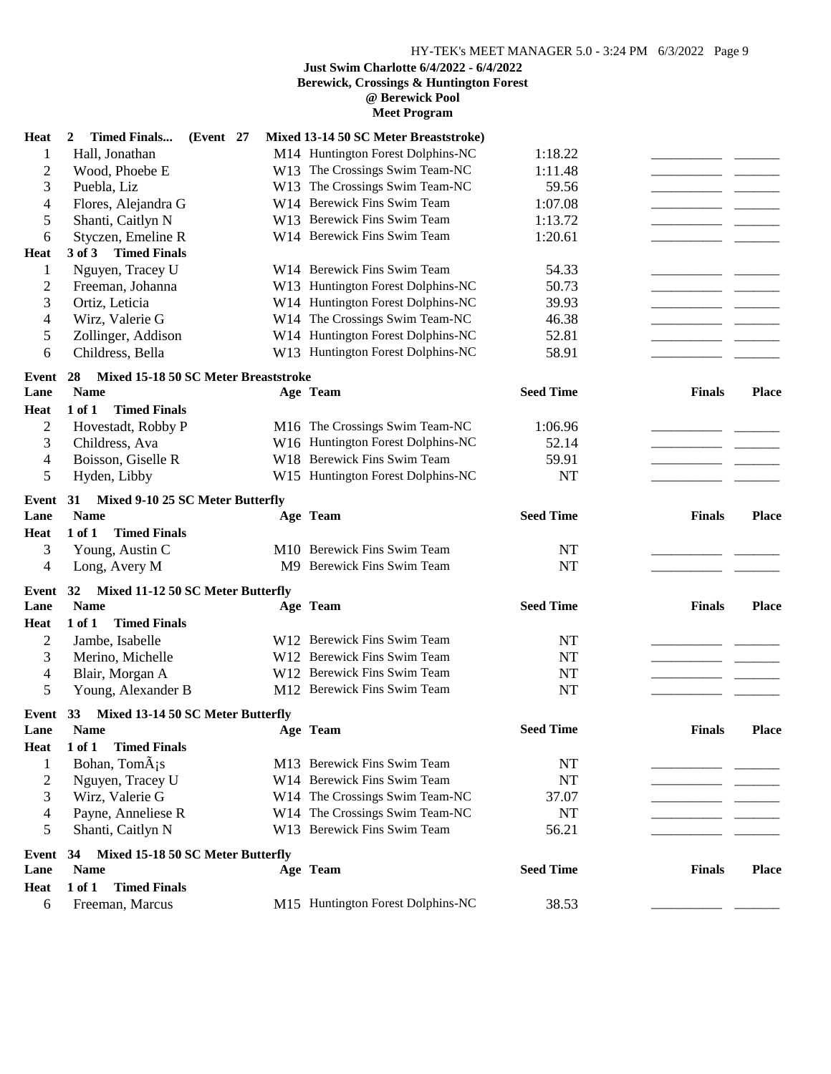| <b>Heat</b>    | <b>Timed Finals</b><br>(Event 27<br>2                  | Mixed 13-14 50 SC Meter Breaststroke)   |                  |               |              |
|----------------|--------------------------------------------------------|-----------------------------------------|------------------|---------------|--------------|
| $\mathbf{1}$   | Hall, Jonathan                                         | M14 Huntington Forest Dolphins-NC       | 1:18.22          |               |              |
| $\overline{2}$ | Wood, Phoebe E                                         | W13 The Crossings Swim Team-NC          | 1:11.48          |               |              |
| 3              | Puebla, Liz                                            | W13 The Crossings Swim Team-NC          | 59.56            |               |              |
| 4              | Flores, Alejandra G                                    | W14 Berewick Fins Swim Team             | 1:07.08          |               |              |
| 5              | Shanti, Caitlyn N                                      | W13 Berewick Fins Swim Team             | 1:13.72          |               |              |
| 6              | Styczen, Emeline R                                     | W14 Berewick Fins Swim Team             | 1:20.61          |               |              |
| <b>Heat</b>    | <b>Timed Finals</b><br>3 of 3                          |                                         |                  |               |              |
| $\mathbf{1}$   | Nguyen, Tracey U                                       | W14 Berewick Fins Swim Team             | 54.33            |               |              |
| $\overline{2}$ | Freeman, Johanna                                       | W13 Huntington Forest Dolphins-NC       | 50.73            |               |              |
| 3              | Ortiz, Leticia                                         | W14 Huntington Forest Dolphins-NC       | 39.93            |               |              |
| 4              | Wirz, Valerie G                                        | W14 The Crossings Swim Team-NC          | 46.38            |               |              |
| 5              | Zollinger, Addison                                     | W14 Huntington Forest Dolphins-NC       | 52.81            |               |              |
| 6              | Childress, Bella                                       | W13 Huntington Forest Dolphins-NC       | 58.91            |               |              |
| Event          | Mixed 15-18 50 SC Meter Breaststroke<br>28             |                                         |                  |               |              |
| Lane           | <b>Name</b>                                            | Age Team                                | <b>Seed Time</b> | <b>Finals</b> | <b>Place</b> |
| <b>Heat</b>    | $1$ of $1$<br><b>Timed Finals</b>                      |                                         |                  |               |              |
| $\overline{2}$ | Hovestadt, Robby P                                     | M16 The Crossings Swim Team-NC          | 1:06.96          |               |              |
| 3              | Childress, Ava                                         | W16 Huntington Forest Dolphins-NC       | 52.14            |               |              |
| 4              | Boisson, Giselle R                                     | W18 Berewick Fins Swim Team             | 59.91            |               |              |
| 5              | Hyden, Libby                                           | W15 Huntington Forest Dolphins-NC       | NT               |               |              |
|                |                                                        |                                         |                  |               |              |
| Event          | 31 Mixed 9-10 25 SC Meter Butterfly                    |                                         |                  |               |              |
| Lane           | <b>Name</b>                                            | Age Team                                | <b>Seed Time</b> | <b>Finals</b> | <b>Place</b> |
| <b>Heat</b>    | <b>Timed Finals</b><br>$1$ of $1$                      |                                         |                  |               |              |
| 3              | Young, Austin C                                        | M10 Berewick Fins Swim Team             | NT               |               |              |
| 4              | Long, Avery M                                          | M9 Berewick Fins Swim Team              | NT               |               |              |
| Event          | Mixed 11-12 50 SC Meter Butterfly<br>32                |                                         |                  |               |              |
| Lane           | <b>Name</b>                                            | Age Team                                | <b>Seed Time</b> | <b>Finals</b> | <b>Place</b> |
| Heat           | $1$ of $1$<br><b>Timed Finals</b>                      |                                         |                  |               |              |
| $\overline{2}$ | Jambe, Isabelle                                        | W <sub>12</sub> Berewick Fins Swim Team | <b>NT</b>        |               |              |
| 3              | Merino, Michelle                                       | W12 Berewick Fins Swim Team             | <b>NT</b>        |               |              |
| 4              | Blair, Morgan A                                        | W12 Berewick Fins Swim Team             | NT               |               |              |
| 5              | Young, Alexander B                                     | M12 Berewick Fins Swim Team             | NT               |               |              |
| Event          | Mixed 13-14 50 SC Meter Butterfly<br>33                |                                         |                  |               |              |
| Lane           | <b>Name</b>                                            | Age Team                                | <b>Seed Time</b> | <b>Finals</b> | <b>Place</b> |
| <b>Heat</b>    | 1 of 1<br><b>Timed Finals</b>                          |                                         |                  |               |              |
| $\mathbf{1}$   | Bohan, Tom $\tilde{A}$ is                              | M13 Berewick Fins Swim Team             | <b>NT</b>        |               |              |
| $\overline{c}$ | Nguyen, Tracey U                                       | W14 Berewick Fins Swim Team             | <b>NT</b>        |               |              |
| 3              | Wirz, Valerie G                                        | W14 The Crossings Swim Team-NC          | 37.07            |               |              |
| 4              | Payne, Anneliese R                                     | W14 The Crossings Swim Team-NC          | NT               |               |              |
| 5              | Shanti, Caitlyn N                                      | W13 Berewick Fins Swim Team             | 56.21            |               |              |
|                |                                                        |                                         |                  |               |              |
| Event<br>Lane  | Mixed 15-18 50 SC Meter Butterfly<br>34<br><b>Name</b> | Age Team                                | <b>Seed Time</b> | <b>Finals</b> | Place        |
| <b>Heat</b>    | 1 of 1<br><b>Timed Finals</b>                          |                                         |                  |               |              |
| 6              | Freeman, Marcus                                        | M15 Huntington Forest Dolphins-NC       | 38.53            |               |              |
|                |                                                        |                                         |                  |               |              |